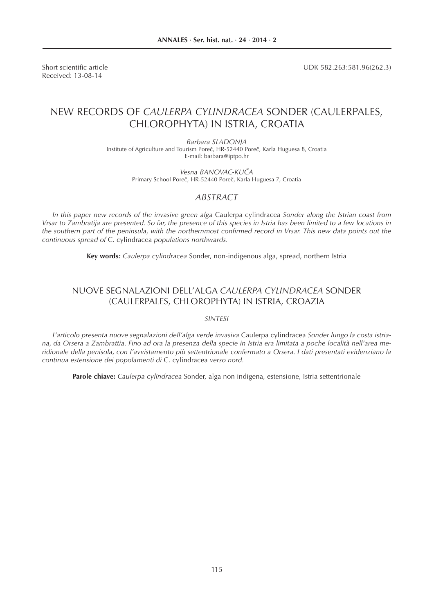Received: 13-08-14

Short scientific article **EXECUTE:** UDK 582.263:581.96(262.3)

# NEW RECORDS OF *CAULERPA CYLINDRACEA* SONDER (CAULERPALES, CHLOROPHYTA) IN ISTRIA, CROATIA

*Barbara SLADONJA* Institute of Agriculture and Tourism Poreč, HR-52440 Poreč, Karla Huguesa 8, Croatia E-mail: barbara@iptpo.hr

> *Vesna BANOVAC-KUČA* Primary School Poreč, HR-52440 Poreč, Karla Huguesa 7, Croatia

### *ABSTRACT*

*In this paper new records of the invasive green alga* Caulerpa cylindracea *Sonder along the Istrian coast from Vrsar to Zambratija are presented. So far, the presence of this species in Istria has been limited to a few locations in*  the southern part of the peninsula, with the northernmost confirmed record in Vrsar. This new data points out the *continuous spread of* C. cylindracea *populations northwards.*

**Key words***: Caulerpa cylindracea* Sonder, non-indigenous alga, spread, northern Istria

## NUOVE SEGNALAZIONI DELL'ALGA *CAULERPA CYLINDRACEA* SONDER (CAULERPALES, CHLOROPHYTA) IN ISTRIA, CROAZIA

*SINTESI*

*L'articolo presenta nuove segnalazioni dell'alga verde invasiva* Caulerpa cylindracea *Sonder lungo la costa istriana, da Orsera a Zambrattia. Fino ad ora la presenza della specie in Istria era limitata a poche località nell'area meridionale della penisola, con l'avvistamento più settentrionale confermato a Orsera. I dati presentati evidenziano la continua estensione dei popolamenti di* C. cylindracea *verso nord.*

**Parole chiave:** *Caulerpa cylindracea* Sonder, alga non indigena, estensione, Istria settentrionale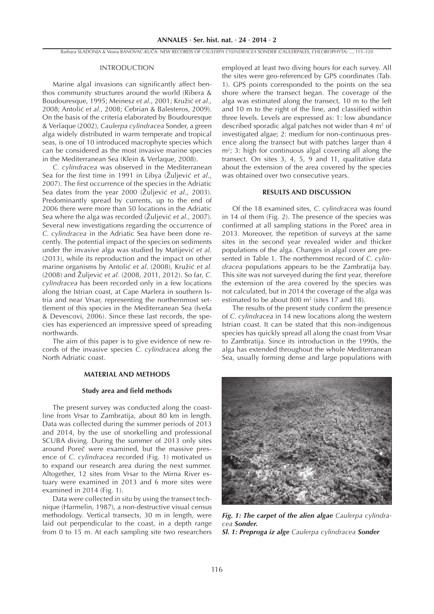#### INTRODUCTION

Marine algal invasions can significantly affect benthos community structures around the world (Ribera & Boudouresque, 1995; Meinesz *et al*., 2001; Kružić *et al.,* 2008; Antolić *et al.,* 2008; Cebrian & Balesteros, 2009). On the basis of the criteria elaborated by Boudouresque & Verlaque (2002), *Caulerpa cylindracea* Sonder, a green alga widely distributed in warm temperate and tropical seas, is one of 10 introduced macrophyte species which can be considered as the most invasive marine species in the Mediterranean Sea (Klein & Verlaque, 2008).

*C. cylindracea* was observed in the Mediterranean Sea for the first time in 1991 in Libya (Žuljević *et al.*, 2007). The first occurrence of the species in the Adriatic Sea dates from the year 2000 (Žuljević *et al*., 2003). Predominantly spread by currents, up to the end of 2006 there were more than 50 locations in the Adriatic Sea where the alga was recorded (Žuljević *et al.,* 2007). Several new investigations regarding the occurrence of *C. cylindracea* in the Adriatic Sea have been done recently. The potential impact of the species on sediments under the invasive alga was studied by Matijević *et al*. (2013), while its reproduction and the impact on other marine organisms by Antolić *et al*. (2008), Kružić *et al.*  (2008) and Žuljević *et al.* (2008, 2011, 2012). So far, *C. cylindracea* has been recorded only in a few locations along the Istrian coast, at Cape Marlera in southern Istria and near Vrsar, representing the northernmost settlement of this species in the Mediterranean Sea (Iveša & Devescovi, 2006). Since these last records, the species has experienced an impressive speed of spreading northwards.

The aim of this paper is to give evidence of new records of the invasive species *C. cylindracea* along the North Adriatic coast.

#### **MATERIAL AND METHODS**

#### **Study area and field methods**

The present survey was conducted along the coastline from Vrsar to Zambratija, about 80 km in length. Data was collected during the summer periods of 2013 and 2014, by the use of snorkelling and professional SCUBA diving. During the summer of 2013 only sites around Poreč were examined, but the massive presence of *C. cylindracea* recorded (Fig. 1) motivated us to expand our research area during the next summer. Altogether, 12 sites from Vrsar to the Mirna River estuary were examined in 2013 and 6 more sites were examined in 2014 (Fig. 1).

Data were collected *in situ* by using the transect technique (Harmelin, 1987), a non-destructive visual census methodology. Vertical transects, 30 m in length, were laid out perpendicular to the coast, in a depth range from 0 to 15 m. At each sampling site two researchers

employed at least two diving hours for each survey. All the sites were geo-referenced by GPS coordinates (Tab. 1). GPS points corresponded to the points on the sea shore where the transect began. The coverage of the alga was estimated along the transect, 10 m to the left and 10 m to the right of the line, and classified within three levels. Levels are expressed as: 1: low abundance described sporadic algal patches not wider than  $4 \text{ m}^2$  of investigated algae; 2: medium for non-continuous presence along the transect but with patches larger than 4  $m<sup>2</sup>$ ; 3: high for continuous algal covering all along the transect. On sites 3, 4, 5, 9 and 11, qualitative data about the extension of the area covered by the species was obtained over two consecutive years.

#### **RESULTS AND DISCUSSION**

Of the 18 examined sites, *C. cylindracea* was found in 14 of them (Fig. 2). The presence of the species was confirmed at all sampling stations in the Poreč area in 2013*.* Moreover, the repetition of surveys at the same sites in the second year revealed wider and thicker populations of the alga. Changes in algal cover are presented in Table 1. The northernmost record of *C. cylindracea* populations appears to be the Zambratija bay. This site was not surveyed during the first year, therefore the extension of the area covered by the species was not calculated, but in 2014 the coverage of the alga was estimated to be about  $800 \text{ m}^2$  (sites 17 and 18).

The results of the present study confirm the presence of *C. cylindracea* in 14 new locations along the western Istrian coast. It can be stated that this non-indigenous species has quickly spread all along the coast from Vrsar to Zambratija. Since its introduction in the 1990s, the alga has extended throughout the whole Mediterranean Sea, usually forming dense and large populations with



*Fig. 1: The carpet of the alien algae Caulerpa cylindracea Sonder. Sl. 1: Preproga iz alge Caulerpa cylindracea Sonder*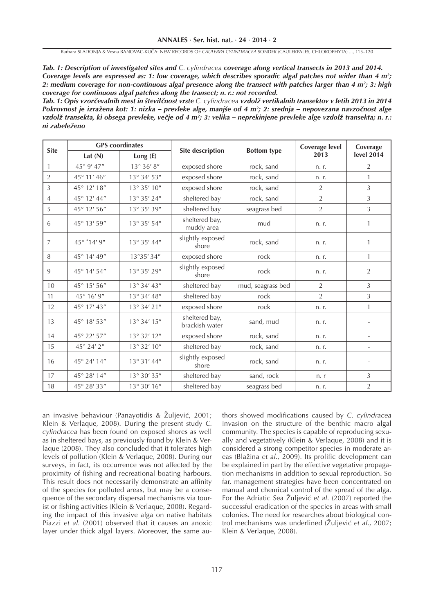*Tab. 1: Description of investigated sites and C. cylindracea coverage along vertical transects in 2013 and 2014. Coverage levels are expressed as: 1: low coverage, which describes sporadic algal patches not wider than 4 m2 ; 2: medium coverage for non-continuous algal presence along the transect with patches larger than 4 m2 ; 3: high coverage for continuous algal patches along the transect; n. r.: not recorded .*

*Tab. 1: Opis vzor***č***evalnih mest in števil***č***nost vrste C. cylindracea vzdolž vertikalnih transektov v letih 2013 in 2014 Pokrovnost je izražena kot: 1: nizka – prevleke alge, manjše od 4 m2 ; 2: srednja – nepovezana navzo***č***nost alge vzdolž transekta, ki obsega prevleke, ve***č***je od 4 m2 ; 3: velika – neprekinjene prevleke alge vzdolž transekta; n. r.: ni zabeleženo*

| <b>Site</b>    | <b>GPS</b> coordinates |                        |                                  |                    | Coverage level | Coverage          |
|----------------|------------------------|------------------------|----------------------------------|--------------------|----------------|-------------------|
|                | Lat $(N)$              | Long (E)               | <b>Site description</b>          | <b>Bottom type</b> | 2013           | <b>level 2014</b> |
| $\mathbf{1}$   | 45° 9' 47"             | $13^{\circ}$ 36' $8''$ | exposed shore                    | rock, sand         | n. r.          | 2                 |
| $\overline{2}$ | 45° 11' 46"            | 13° 34' 53"            | exposed shore                    | rock, sand         | n. r.          | $\mathbf{1}$      |
| $\overline{3}$ | 45° 12' 18"            | 13° 35' 10"            | exposed shore                    | rock, sand         | 2              | 3                 |
| $\overline{4}$ | 45° 12' 44"            | 13° 35' 24"            | sheltered bay                    | rock, sand         | $\overline{2}$ | 3                 |
| 5              | 45° 12' 56"            | 13° 35' 39"            | sheltered bay                    | seagrass bed       | $\overline{2}$ | $\overline{3}$    |
| 6              | 45° 13' 59"            | 13° 35' 54"            | sheltered bay,<br>muddy area     | mud                | n. r.          | $\mathbf{1}$      |
| $\overline{7}$ | 45° '14' 9"            | 13° 35' 44"            | slightly exposed<br>shore        | rock, sand         | n. r.          | 1                 |
| $\, 8$         | 45° 14' 49"            | 13°35' 34"             | exposed shore                    | rock               | n. r.          | $\mathbf{1}$      |
| 9              | 45° 14' 54"            | $13^{\circ}$ 35' 29"   | slightly exposed<br>shore        | rock               | n. r.          | $\overline{2}$    |
| 10             | 45° 15' 56"            | 13° 34' 43"            | sheltered bay                    | mud, seagrass bed  | $\overline{2}$ | 3                 |
| 11             | 45° 16' 9"             | 13° 34' 48"            | sheltered bay                    | rock               | $\overline{2}$ | 3                 |
| 12             | 45° 17' 43"            | 13° 34' 21"            | exposed shore                    | rock               | n. r.          | $\mathbf{1}$      |
| 13             | 45° 18' 53"            | 13° 34' 15"            | sheltered bay,<br>brackish water | sand, mud          | n. r.          |                   |
| 14             | 45° 22' 57"            | 13° 32' 12"            | exposed shore                    | rock, sand         | n. r.          |                   |
| 15             | 45° 24' 2"             | 13° 32' 10"            | sheltered bay                    | rock, sand         | n. r.          |                   |
| 16             | 45° 24' 14"            | 13° 31' 44"            | slightly exposed<br>shore        | rock, sand         | n. r.          |                   |
| 17             | 45° 28' 14"            | 13° 30' 35"            | sheltered bay                    | sand, rock         | n.r            | 3                 |
| 18             | 45° 28' 33"            | 13° 30' 16"            | sheltered bay                    | seagrass bed       | n. r.          | $\overline{2}$    |

an invasive behaviour (Panayotidis & Žuljević, 2001; Klein & Verlaque, 2008). During the present study *C. cylindracea* has been found on exposed shores as well as in sheltered bays, as previously found by Klein & Verlaque (2008). They also concluded that it tolerates high levels of pollution (Klein & Verlaque, 2008). During our surveys, in fact, its occurrence was not affected by the proximity of fishing and recreational boating harbours. This result does not necessarily demonstrate an affinity of the species for polluted areas, but may be a consequence of the secondary dispersal mechanisms via tourist or fishing activities (Klein & Verlaque, 2008). Regarding the impact of this invasive alga on native habitats Piazzi *et al.* (2001) observed that it causes an anoxic layer under thick algal layers. Moreover, the same authors showed modifications caused by *C. cylindracea* invasion on the structure of the benthic macro algal community. The species is capable of reproducing sexually and vegetatively (Klein & Verlaque, 2008) and it is considered a strong competitor species in moderate areas (Blažina et al., 2009). Its prolific development can be explained in part by the effective vegetative propagation mechanisms in addition to sexual reproduction. So far, management strategies have been concentrated on manual and chemical control of the spread of the alga. For the Adriatic Sea Žuljević *et al*. (2007) reported the successful eradication of the species in areas with small colonies. The need for researches about biological control mechanisms was underlined (Žuljević *et al*., 2007; Klein & Verlaque, 2008).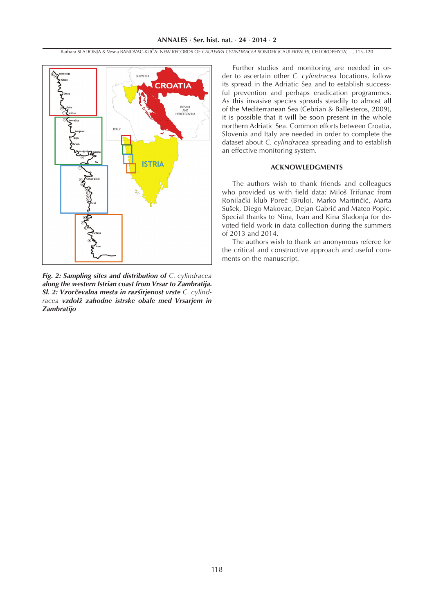

*Fig. 2: Sampling sites and distribution of C. cylindracea along the western Istrian coast from Vrsar to Zambratija. Sl. 2: Vzor***č***evalna mesta in razširjenost vrste C. cylindracea vzdolž zahodne istrske obale med Vrsarjem in Zambratijo*

Further studies and monitoring are needed in order to ascertain other *C. cylindracea* locations, follow its spread in the Adriatic Sea and to establish successful prevention and perhaps eradication programmes. As this invasive species spreads steadily to almost all of the Mediterranean Sea (Cebrian & Ballesteros, 2009), it is possible that it will be soon present in the whole northern Adriatic Sea. Common efforts between Croatia, Slovenia and Italy are needed in order to complete the dataset about *C. cylindracea* spreading and to establish an effective monitoring system.

### **ACKNOWLEDGMENTS**

The authors wish to thank friends and colleagues who provided us with field data: Miloš Trifunac from Ronilački klub Poreč (Brulo), Marko Martinčić, Marta Sušek, Diego Makovac, Dejan Gabrič and Mateo Popic. Special thanks to Nina, Ivan and Kina Sladonja for devoted field work in data collection during the summers of 2013 and 2014.

The authors wish to thank an anonymous referee for the critical and constructive approach and useful comments on the manuscript.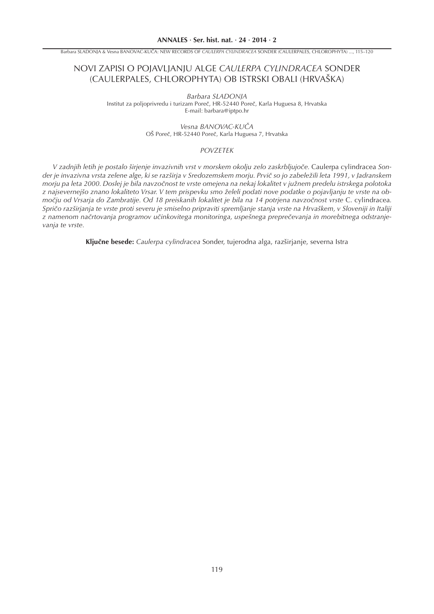## NOVI ZAPISI O POJAVLJANJU ALGE *CAULERPA CYLINDRACEA* SONDER (CAULERPALES, CHLOROPHYTA) OB ISTRSKI OBALI (HRVAŠKA)

*Barbara SLADONJA* Institut za poljoprivredu i turizam Poreč, HR-52440 Poreč, Karla Huguesa 8, Hrvatska E-mail: barbara@iptpo.hr

> *Vesna BANOVAC-KUČA* OŠ Poreč, HR-52440 Poreč, Karla Huguesa 7, Hrvatska

### *POVZETEK*

*V zadnjih letih je postalo širjenje invazivnih vrst v morskem okolju zelo zaskrbljujoče.* Caulerpa cylindracea *Sonder je invazivna vrsta zelene alge, ki se razširja v Sredozemskem morju. Prvič so jo zabeležili leta 1991, v Jadranskem morju pa leta 2000. Doslej je bila navzočnost te vrste omejena na nekaj lokalitet v južnem predelu istrskega polotoka z najsevernejšo znano lokaliteto Vrsar. V tem prispevku smo želeli podati nove podatke o pojavljanju te vrste na območju od Vrsarja do Zambratije. Od 18 preiskanih lokalitet je bila na 14 potrjena navzočnost vrste* C. cylindracea*. Spričo razširjanja te vrste proti severu je smiselno pripraviti spremljanje stanja vrste na Hrvaškem, v Sloveniji in Italiji z namenom načrtovanja programov učinkovitega monitoringa, uspešnega preprečevanja in morebitnega odstranjevanja te vrste.*

**Ključne besede:** *Caulerpa cylindracea* Sonder, tujerodna alga, razširjanje, severna Istra